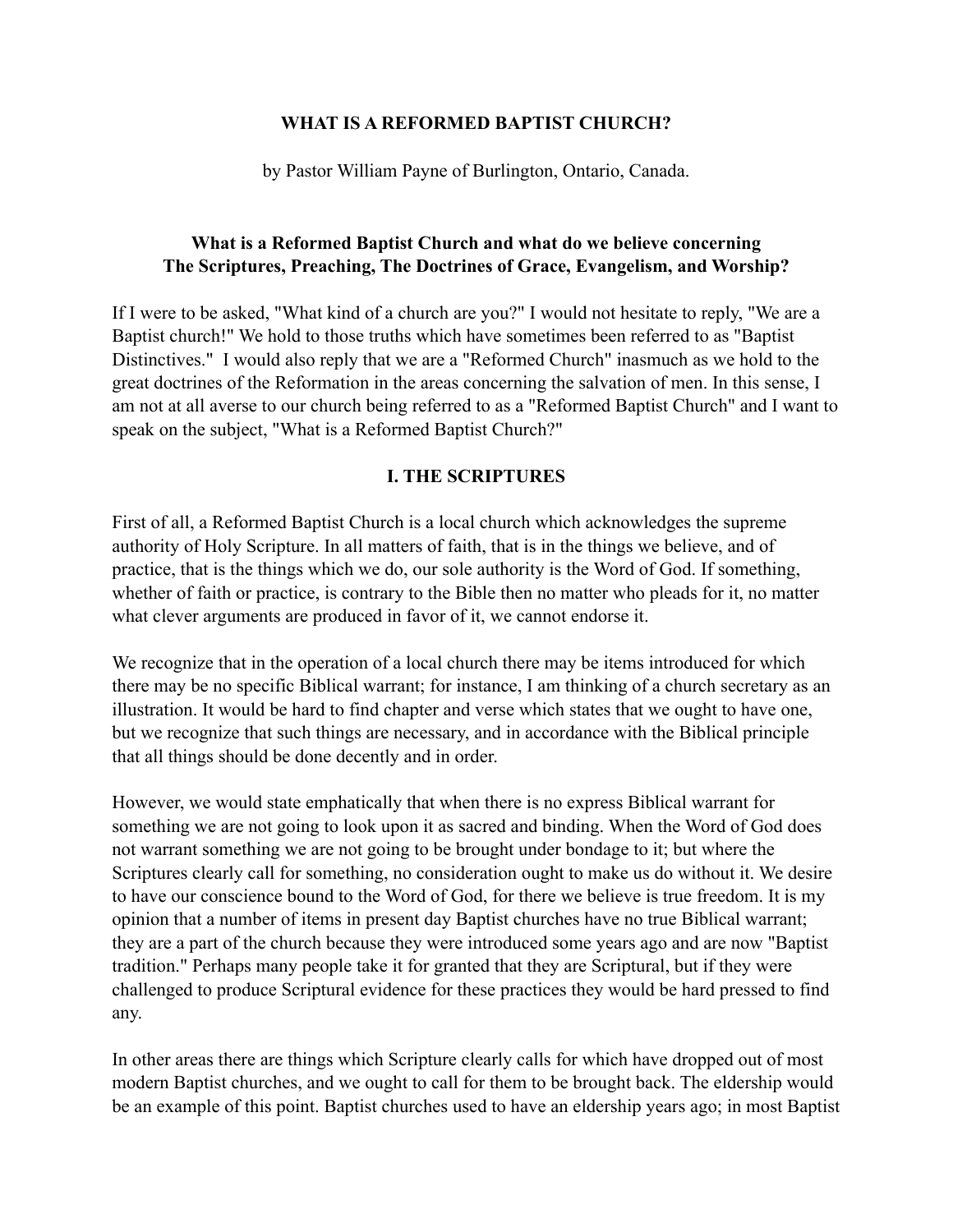#### **WHAT IS A REFORMED BAPTIST CHURCH?**

by Pastor William Payne of Burlington, Ontario, Canada.

### **What is a Reformed Baptist Church and what do we believe concerning The Scriptures, Preaching, The Doctrines of Grace, Evangelism, and Worship?**

If I were to be asked, "What kind of a church are you?" I would not hesitate to reply, "We are a Baptist church!" We hold to those truths which have sometimes been referred to as "Baptist Distinctives." I would also reply that we are a "Reformed Church" inasmuch as we hold to the great doctrines of the Reformation in the areas concerning the salvation of men. In this sense, I am not at all averse to our church being referred to as a "Reformed Baptist Church" and I want to speak on the subject, "What is a Reformed Baptist Church?"

# **I. THE SCRIPTURES**

First of all, a Reformed Baptist Church is a local church which acknowledges the supreme authority of Holy Scripture. In all matters of faith, that is in the things we believe, and of practice, that is the things which we do, our sole authority is the Word of God. If something, whether of faith or practice, is contrary to the Bible then no matter who pleads for it, no matter what clever arguments are produced in favor of it, we cannot endorse it.

We recognize that in the operation of a local church there may be items introduced for which there may be no specific Biblical warrant; for instance, I am thinking of a church secretary as an illustration. It would be hard to find chapter and verse which states that we ought to have one, but we recognize that such things are necessary, and in accordance with the Biblical principle that all things should be done decently and in order.

However, we would state emphatically that when there is no express Biblical warrant for something we are not going to look upon it as sacred and binding. When the Word of God does not warrant something we are not going to be brought under bondage to it; but where the Scriptures clearly call for something, no consideration ought to make us do without it. We desire to have our conscience bound to the Word of God, for there we believe is true freedom. It is my opinion that a number of items in present day Baptist churches have no true Biblical warrant; they are a part of the church because they were introduced some years ago and are now "Baptist tradition." Perhaps many people take it for granted that they are Scriptural, but if they were challenged to produce Scriptural evidence for these practices they would be hard pressed to find any.

In other areas there are things which Scripture clearly calls for which have dropped out of most modern Baptist churches, and we ought to call for them to be brought back. The eldership would be an example of this point. Baptist churches used to have an eldership years ago; in most Baptist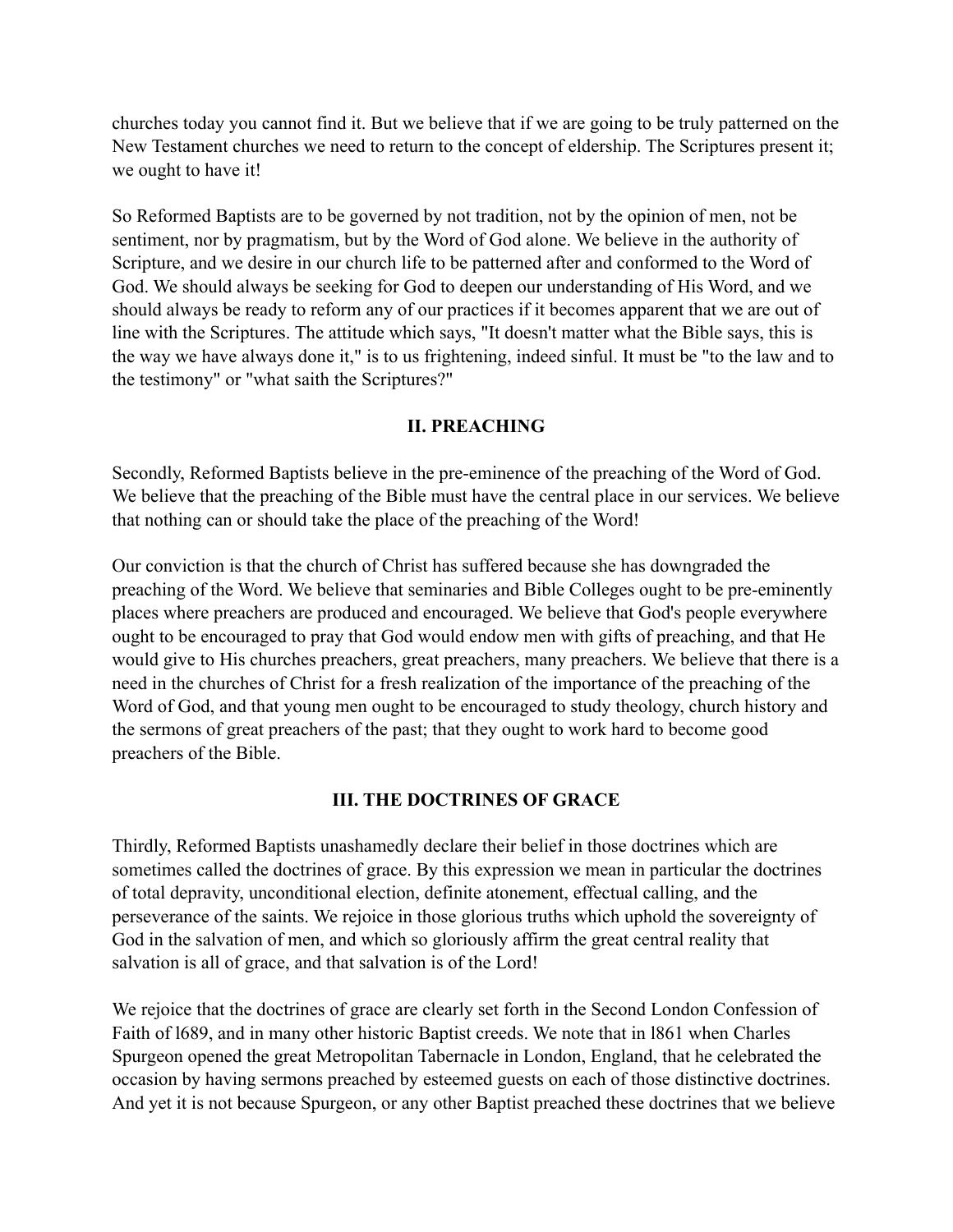churches today you cannot find it. But we believe that if we are going to be truly patterned on the New Testament churches we need to return to the concept of eldership. The Scriptures present it; we ought to have it!

So Reformed Baptists are to be governed by not tradition, not by the opinion of men, not be sentiment, nor by pragmatism, but by the Word of God alone. We believe in the authority of Scripture, and we desire in our church life to be patterned after and conformed to the Word of God. We should always be seeking for God to deepen our understanding of His Word, and we should always be ready to reform any of our practices if it becomes apparent that we are out of line with the Scriptures. The attitude which says, "It doesn't matter what the Bible says, this is the way we have always done it," is to us frightening, indeed sinful. It must be "to the law and to the testimony" or "what saith the Scriptures?"

### **II. PREACHING**

Secondly, Reformed Baptists believe in the pre-eminence of the preaching of the Word of God. We believe that the preaching of the Bible must have the central place in our services. We believe that nothing can or should take the place of the preaching of the Word!

Our conviction is that the church of Christ has suffered because she has downgraded the preaching of the Word. We believe that seminaries and Bible Colleges ought to be pre-eminently places where preachers are produced and encouraged. We believe that God's people everywhere ought to be encouraged to pray that God would endow men with gifts of preaching, and that He would give to His churches preachers, great preachers, many preachers. We believe that there is a need in the churches of Christ for a fresh realization of the importance of the preaching of the Word of God, and that young men ought to be encouraged to study theology, church history and the sermons of great preachers of the past; that they ought to work hard to become good preachers of the Bible.

### **III. THE DOCTRINES OF GRACE**

Thirdly, Reformed Baptists unashamedly declare their belief in those doctrines which are sometimes called the doctrines of grace. By this expression we mean in particular the doctrines of total depravity, unconditional election, definite atonement, effectual calling, and the perseverance of the saints. We rejoice in those glorious truths which uphold the sovereignty of God in the salvation of men, and which so gloriously affirm the great central reality that salvation is all of grace, and that salvation is of the Lord!

We rejoice that the doctrines of grace are clearly set forth in the Second London Confession of Faith of l689, and in many other historic Baptist creeds. We note that in l861 when Charles Spurgeon opened the great Metropolitan Tabernacle in London, England, that he celebrated the occasion by having sermons preached by esteemed guests on each of those distinctive doctrines. And yet it is not because Spurgeon, or any other Baptist preached these doctrines that we believe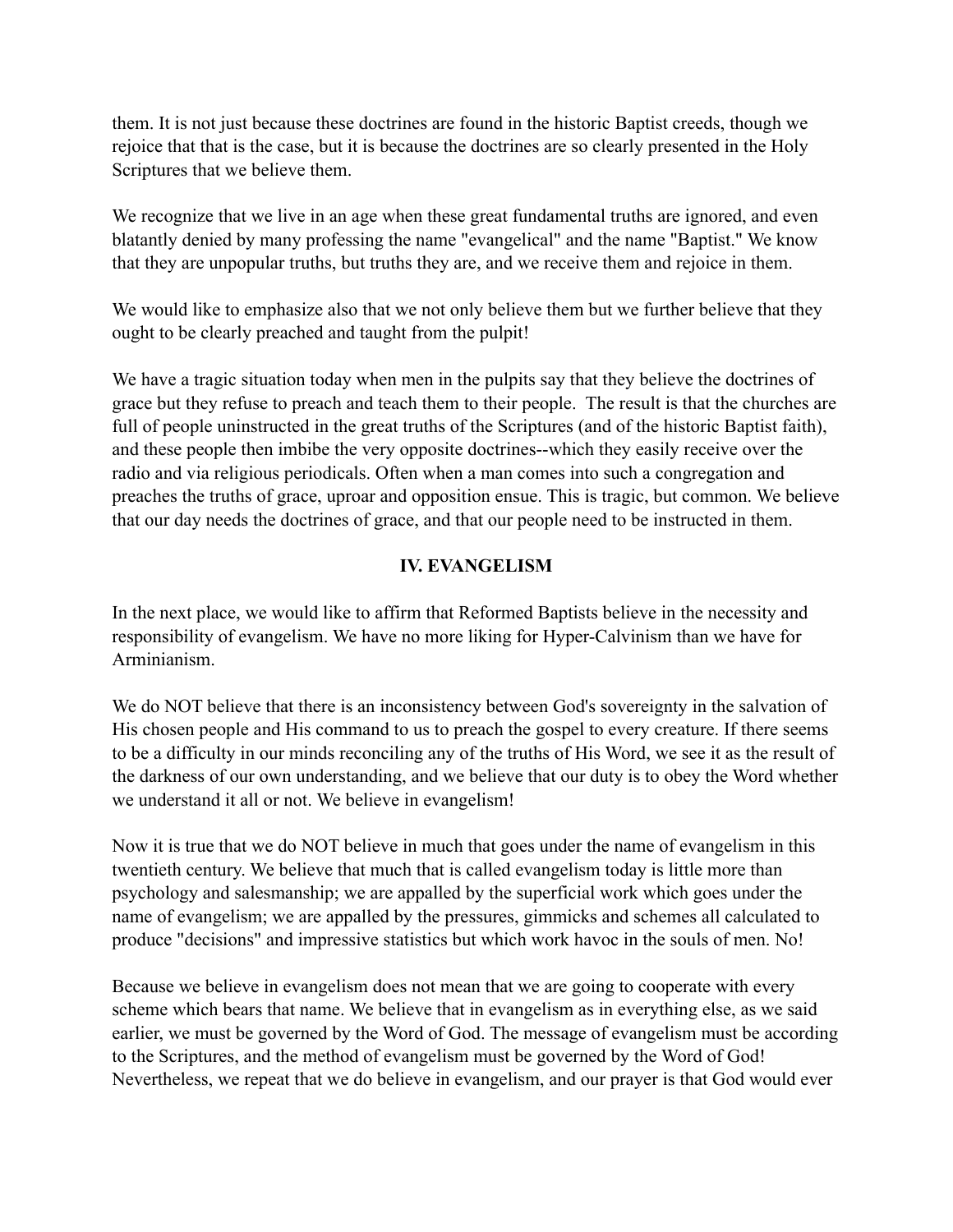them. It is not just because these doctrines are found in the historic Baptist creeds, though we rejoice that that is the case, but it is because the doctrines are so clearly presented in the Holy Scriptures that we believe them.

We recognize that we live in an age when these great fundamental truths are ignored, and even blatantly denied by many professing the name "evangelical" and the name "Baptist." We know that they are unpopular truths, but truths they are, and we receive them and rejoice in them.

We would like to emphasize also that we not only believe them but we further believe that they ought to be clearly preached and taught from the pulpit!

We have a tragic situation today when men in the pulpits say that they believe the doctrines of grace but they refuse to preach and teach them to their people. The result is that the churches are full of people uninstructed in the great truths of the Scriptures (and of the historic Baptist faith), and these people then imbibe the very opposite doctrines--which they easily receive over the radio and via religious periodicals. Often when a man comes into such a congregation and preaches the truths of grace, uproar and opposition ensue. This is tragic, but common. We believe that our day needs the doctrines of grace, and that our people need to be instructed in them.

# **IV. EVANGELISM**

In the next place, we would like to affirm that Reformed Baptists believe in the necessity and responsibility of evangelism. We have no more liking for Hyper-Calvinism than we have for Arminianism.

We do NOT believe that there is an inconsistency between God's sovereignty in the salvation of His chosen people and His command to us to preach the gospel to every creature. If there seems to be a difficulty in our minds reconciling any of the truths of His Word, we see it as the result of the darkness of our own understanding, and we believe that our duty is to obey the Word whether we understand it all or not. We believe in evangelism!

Now it is true that we do NOT believe in much that goes under the name of evangelism in this twentieth century. We believe that much that is called evangelism today is little more than psychology and salesmanship; we are appalled by the superficial work which goes under the name of evangelism; we are appalled by the pressures, gimmicks and schemes all calculated to produce "decisions" and impressive statistics but which work havoc in the souls of men. No!

Because we believe in evangelism does not mean that we are going to cooperate with every scheme which bears that name. We believe that in evangelism as in everything else, as we said earlier, we must be governed by the Word of God. The message of evangelism must be according to the Scriptures, and the method of evangelism must be governed by the Word of God! Nevertheless, we repeat that we do believe in evangelism, and our prayer is that God would ever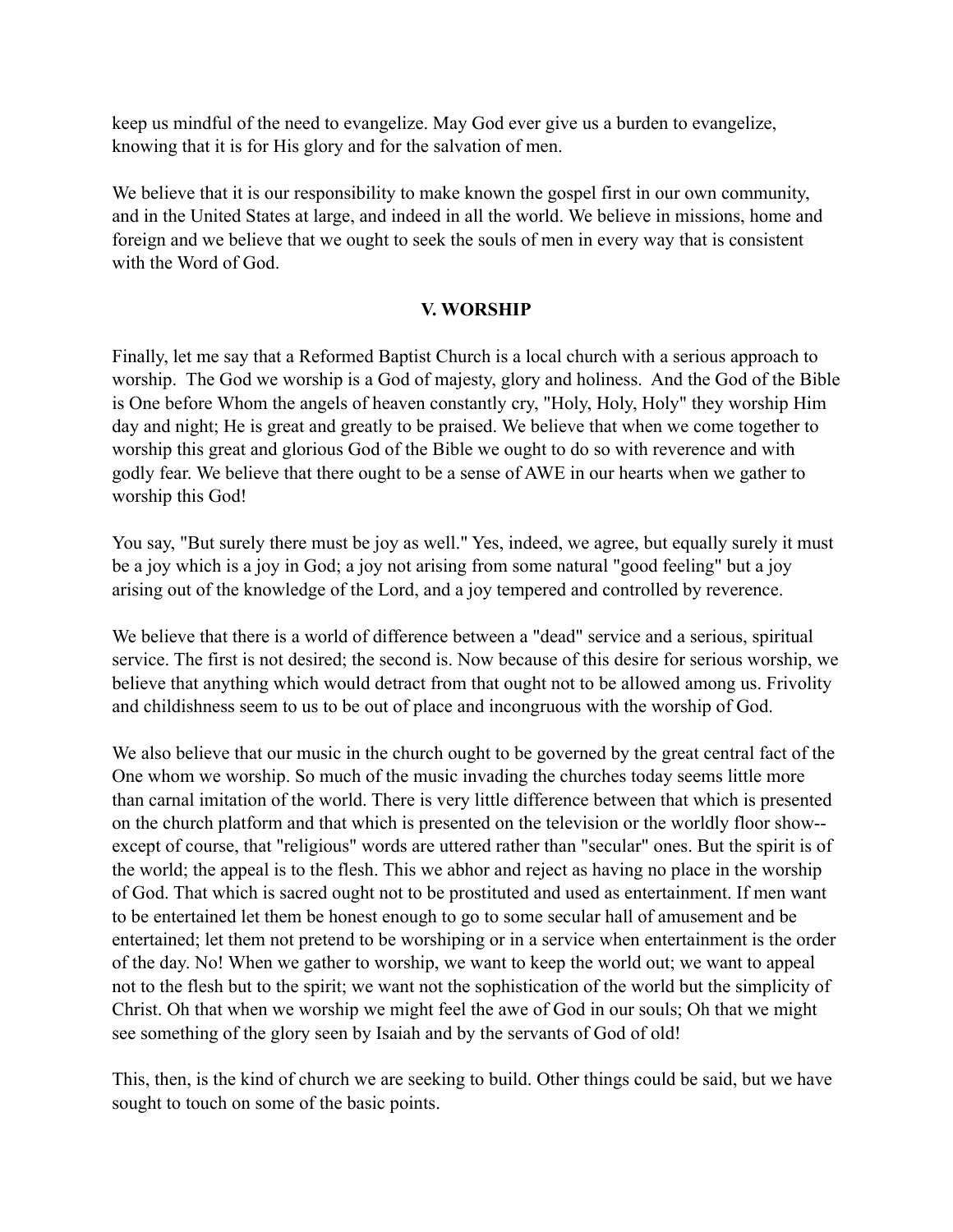keep us mindful of the need to evangelize. May God ever give us a burden to evangelize, knowing that it is for His glory and for the salvation of men.

We believe that it is our responsibility to make known the gospel first in our own community, and in the United States at large, and indeed in all the world. We believe in missions, home and foreign and we believe that we ought to seek the souls of men in every way that is consistent with the Word of God.

### **V. WORSHIP**

Finally, let me say that a Reformed Baptist Church is a local church with a serious approach to worship. The God we worship is a God of majesty, glory and holiness. And the God of the Bible is One before Whom the angels of heaven constantly cry, "Holy, Holy, Holy" they worship Him day and night; He is great and greatly to be praised. We believe that when we come together to worship this great and glorious God of the Bible we ought to do so with reverence and with godly fear. We believe that there ought to be a sense of AWE in our hearts when we gather to worship this God!

You say, "But surely there must be joy as well." Yes, indeed, we agree, but equally surely it must be a joy which is a joy in God; a joy not arising from some natural "good feeling" but a joy arising out of the knowledge of the Lord, and a joy tempered and controlled by reverence.

We believe that there is a world of difference between a "dead" service and a serious, spiritual service. The first is not desired; the second is. Now because of this desire for serious worship, we believe that anything which would detract from that ought not to be allowed among us. Frivolity and childishness seem to us to be out of place and incongruous with the worship of God.

We also believe that our music in the church ought to be governed by the great central fact of the One whom we worship. So much of the music invading the churches today seems little more than carnal imitation of the world. There is very little difference between that which is presented on the church platform and that which is presented on the television or the worldly floor show- except of course, that "religious" words are uttered rather than "secular" ones. But the spirit is of the world; the appeal is to the flesh. This we abhor and reject as having no place in the worship of God. That which is sacred ought not to be prostituted and used as entertainment. If men want to be entertained let them be honest enough to go to some secular hall of amusement and be entertained; let them not pretend to be worshiping or in a service when entertainment is the order of the day. No! When we gather to worship, we want to keep the world out; we want to appeal not to the flesh but to the spirit; we want not the sophistication of the world but the simplicity of Christ. Oh that when we worship we might feel the awe of God in our souls; Oh that we might see something of the glory seen by Isaiah and by the servants of God of old!

This, then, is the kind of church we are seeking to build. Other things could be said, but we have sought to touch on some of the basic points.